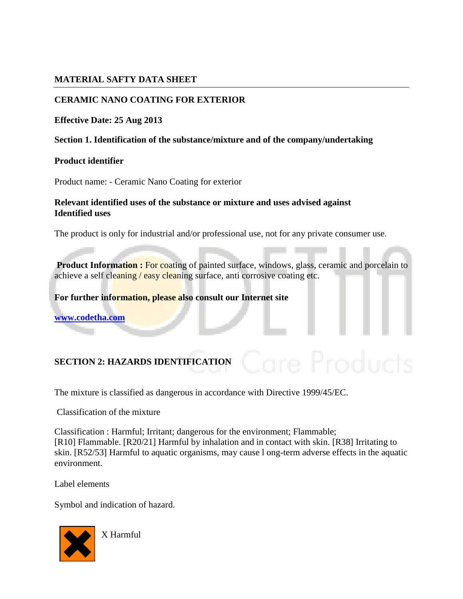### **MATERIAL SAFTY DATA SHEET**

## **CERAMIC NANO COATING FOR EXTERIOR**

### **Effective Date: 25 Aug 2013**

### **Section 1. Identification of the substance/mixture and of the company/undertaking**

#### **Product identifier**

Product name: - Ceramic Nano Coating for exterior

## **Relevant identified uses of the substance or mixture and uses advised against Identified uses**

The product is only for industrial and/or professional use, not for any private consumer use.

**Product Information : For coating of painted surface, windows, glass, ceramic and porcelain to** achieve a self cleaning / easy cleaning surface, anti corrosive coating etc.

**For further information, please also consult our Internet site** 

**[www.codetha.com](http://www.codetha.com/)**

## **SECTION 2: HAZARDS IDENTIFICATION**

The mixture is classified as dangerous in accordance with Directive 1999/45/EC.

Classification of the mixture

Classification : Harmful; Irritant; dangerous for the environment; Flammable; [R10] Flammable. [R20/21] Harmful by inhalation and in contact with skin. [R38] Irritating to skin. [R52/53] Harmful to aquatic organisms, may cause l ong-term adverse effects in the aquatic environment.

Label elements

Symbol and indication of hazard.



X Harmful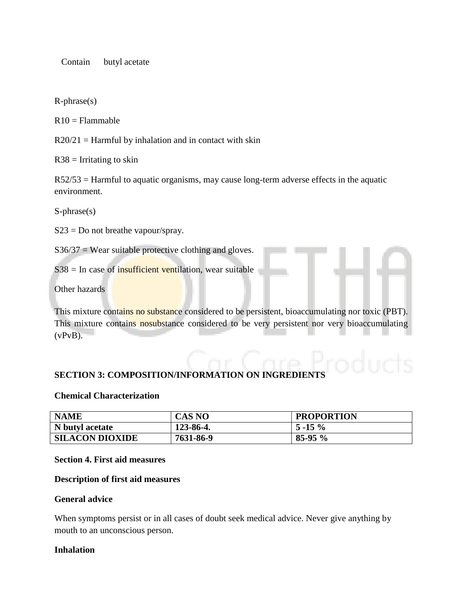Contain butyl acetate

R-phrase(s)

 $R10 =$ Flammable

 $R20/21 =$  Harmful by inhalation and in contact with skin

 $R38$  = Irritating to skin

R52/53 = Harmful to aquatic organisms, may cause long-term adverse effects in the aquatic environment.

S-phrase(s)

 $S23 = Do$  not breathe vapour/spray.

 $S36/37$  = Wear suitable protective clothing and gloves.

 $S38$  = In case of insufficient ventilation, wear suitable

Other hazards

This mixture contains no substance considered to be persistent, bioaccumulating nor toxic (PBT). This mixture contains nosubstance considered to be very persistent nor very bioaccumulating  $(vPvB)$ .

#### **SECTION 3: COMPOSITION/INFORMATION ON INGREDIE**

#### **Chemical Characterization**

| <b>NAME</b>            | <b>CAS NO</b> | <b>PROPORTION</b> |
|------------------------|---------------|-------------------|
| N butyl acetate        | 123-86-4.     | $5 - 15 \%$       |
| <b>SILACON DIOXIDE</b> | 7631-86-9     | $85-95%$          |

#### **Section 4. First aid measures**

#### **Description of first aid measures**

#### **General advice**

When symptoms persist or in all cases of doubt seek medical advice. Never give anything by mouth to an unconscious person.

#### **Inhalation**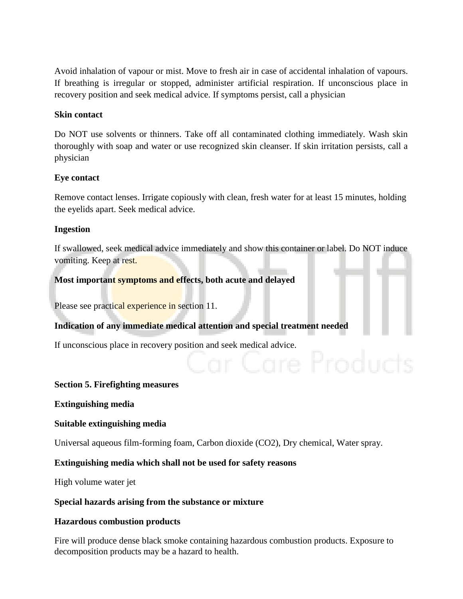Avoid inhalation of vapour or mist. Move to fresh air in case of accidental inhalation of vapours. If breathing is irregular or stopped, administer artificial respiration. If unconscious place in recovery position and seek medical advice. If symptoms persist, call a physician

### **Skin contact**

Do NOT use solvents or thinners. Take off all contaminated clothing immediately. Wash skin thoroughly with soap and water or use recognized skin cleanser. If skin irritation persists, call a physician

### **Eye contact**

Remove contact lenses. Irrigate copiously with clean, fresh water for at least 15 minutes, holding the eyelids apart. Seek medical advice.

### **Ingestion**

If swallowed, seek medical advice immediately and show this container or label. Do NOT induce vomiting. Keep at rest.

### **Most important symptoms and effects, both acute and delayed**

Please see practical experience in section 11.

## **Indication of any immediate medical attention and special treatment needed**

If unconscious place in recovery position and seek medical advice.

#### **Section 5. Firefighting measures**

**Extinguishing media**

#### **Suitable extinguishing media**

Universal aqueous film-forming foam, Carbon dioxide (CO2), Dry chemical, Water spray.

#### **Extinguishing media which shall not be used for safety reasons**

High volume water jet

#### **Special hazards arising from the substance or mixture**

#### **Hazardous combustion products**

Fire will produce dense black smoke containing hazardous combustion products. Exposure to decomposition products may be a hazard to health.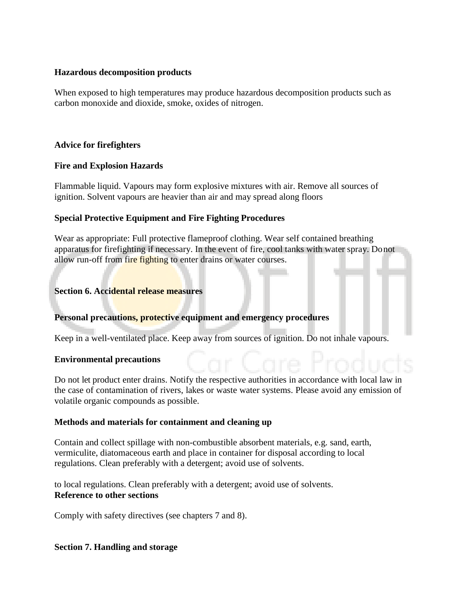### **Hazardous decomposition products**

When exposed to high temperatures may produce hazardous decomposition products such as carbon monoxide and dioxide, smoke, oxides of nitrogen.

## **Advice for firefighters**

## **Fire and Explosion Hazards**

Flammable liquid. Vapours may form explosive mixtures with air. Remove all sources of ignition. Solvent vapours are heavier than air and may spread along floors

## **Special Protective Equipment and Fire Fighting Procedures**

Wear as appropriate: Full protective flameproof clothing. Wear self contained breathing apparatus for firefighting if necessary. In the event of fire, cool tanks with water spray. Donot allow run-off from fire fighting to enter drains or water courses.

## **Section 6. Accidental release measures**

## **Personal precautions, protective equipment and emergency procedures**

Keep in a well-ventilated place. Keep away from sources of ignition. Do not inhale vapours.

## **Environmental precautions**

Do not let product enter drains. Notify the respective authorities in accordance with local law in the case of contamination of rivers, lakes or waste water systems. Please avoid any emission of volatile organic compounds as possible.

## **Methods and materials for containment and cleaning up**

Contain and collect spillage with non-combustible absorbent materials, e.g. sand, earth, vermiculite, diatomaceous earth and place in container for disposal according to local regulations. Clean preferably with a detergent; avoid use of solvents.

to local regulations. Clean preferably with a detergent; avoid use of solvents. **Reference to other sections**

Comply with safety directives (see chapters 7 and 8).

## **Section 7. Handling and storage**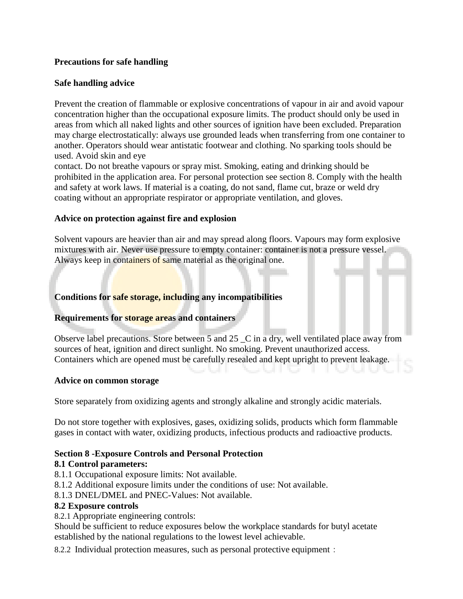## **Precautions for safe handling**

## **Safe handling advice**

Prevent the creation of flammable or explosive concentrations of vapour in air and avoid vapour concentration higher than the occupational exposure limits. The product should only be used in areas from which all naked lights and other sources of ignition have been excluded. Preparation may charge electrostatically: always use grounded leads when transferring from one container to another. Operators should wear antistatic footwear and clothing. No sparking tools should be used. Avoid skin and eye

contact. Do not breathe vapours or spray mist. Smoking, eating and drinking should be prohibited in the application area. For personal protection see section 8. Comply with the health and safety at work laws. If material is a coating, do not sand, flame cut, braze or weld dry coating without an appropriate respirator or appropriate ventilation, and gloves.

### **Advice on protection against fire and explosion**

Solvent vapours are heavier than air and may spread along floors. Vapours may form explosive mixtures with air. Never use pressure to empty container: container is not a pressure vessel. Always keep in containers of same material as the original one.

## **Conditions for safe storage, including any incompatibilities**

## **Requirements for storage areas and containers**

Observe label precautions. Store between 5 and 25 \_C in a dry, well ventilated place away from sources of heat, ignition and direct sunlight. No smoking. Prevent unauthorized access. Containers which are opened must be carefully resealed and kept upright to prevent leakage.

#### **Advice on common storage**

Store separately from oxidizing agents and strongly alkaline and strongly acidic materials.

Do not store together with explosives, gases, oxidizing solids, products which form flammable gases in contact with water, oxidizing products, infectious products and radioactive products.

## **Section 8 -Exposure Controls and Personal Protection**

#### **8.1 Control parameters:**

- 8.1.1 Occupational exposure limits: Not available.
- 8.1.2 Additional exposure limits under the conditions of use: Not available.
- 8.1.3 DNEL/DMEL and PNEC-Values: Not available.

#### **8.2 Exposure controls**

8.2.1 Appropriate engineering controls:

Should be sufficient to reduce exposures below the workplace standards for butyl acetate established by the national regulations to the lowest level achievable.

8.2.2 Individual protection measures, such as personal protective equipment: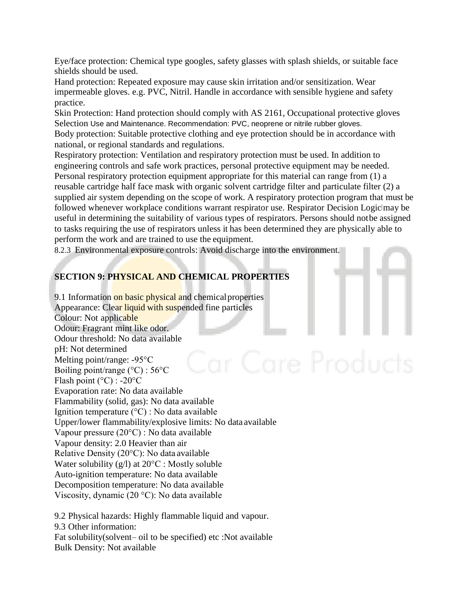Eye/face protection: Chemical type googles, safety glasses with splash shields, or suitable face shields should be used.

Hand protection: Repeated exposure may cause skin irritation and/or sensitization. Wear impermeable gloves. e.g. PVC, Nitril. Handle in accordance with sensible hygiene and safety practice.

Skin Protection: Hand protection should comply with AS 2161, Occupational protective gloves Selection Use and Maintenance. Recommendation: PVC, neoprene or nitrile rubber gloves. Body protection: Suitable protective clothing and eye protection should be in accordance with national, or regional standards and regulations.

Respiratory protection: Ventilation and respiratory protection must be used. In addition to engineering controls and safe work practices, personal protective equipment may be needed. Personal respiratory protection equipment appropriate for this material can range from (1) a reusable cartridge half face mask with organic solvent cartridge filter and particulate filter (2) a supplied air system depending on the scope of work. A respiratory protection program that must be followed whenever workplace conditions warrant respirator use. Respirator Decision Logic may be useful in determining the suitability of various types of respirators. Persons should notbe assigned to tasks requiring the use of respirators unless it has been determined they are physically able to perform the work and are trained to use the equipment.

8.2.3 Environmental exposure controls: Avoid discharge into the environment.

## **SECTION 9: PHYSICAL AND CHEMICAL PROPERTIES**

9.1 Information on basic physical and chemical properties Appearance: Clear liquid with suspended fine particles Colour: Not applicable Odour: Fragrant mint like odor. Odour threshold: No data available pH: Not determined Melting point/range: -95°C Boiling point/range (°C) : 56°C Flash point ( $^{\circ}$ C) : -20 $^{\circ}$ C Evaporation rate: No data available Flammability (solid, gas): No data available Ignition temperature (°C) : No data available Upper/lower flammability/explosive limits: No data available Vapour pressure (20°C) : No data available Vapour density: 2.0 Heavier than air Relative Density (20°C): No data available Water solubility (g/l) at 20°C : Mostly soluble Auto-ignition temperature: No data available Decomposition temperature: No data available Viscosity, dynamic (20 °C): No data available

9.2 Physical hazards: Highly flammable liquid and vapour. 9.3 Other information: Fat solubility(solvent– oil to be specified) etc :Not available Bulk Density: Not available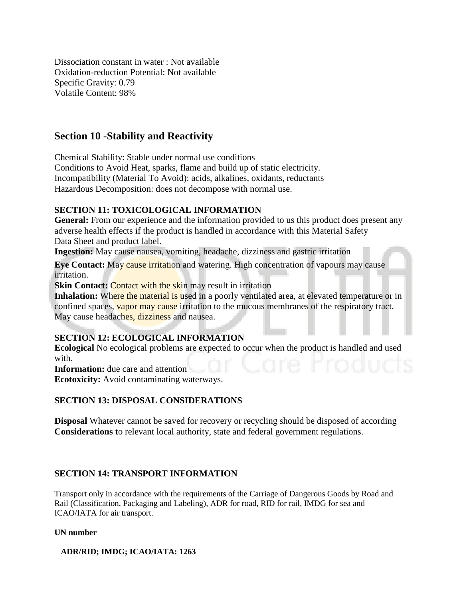Dissociation constant in water : Not available Oxidation-reduction Potential: Not available Specific Gravity: 0.79 Volatile Content: 98%

## **Section 10 -Stability and Reactivity**

Chemical Stability: Stable under normal use conditions Conditions to Avoid Heat, sparks, flame and build up of static electricity. Incompatibility (Material To Avoid): acids, alkalines, oxidants, reductants Hazardous Decomposition: does not decompose with normal use.

### **SECTION 11: TOXICOLOGICAL INFORMATION**

General: From our experience and the information provided to us this product does present any adverse health effects if the product is handled in accordance with this Material Safety Data Sheet and product label.

**Ingestion:** May cause nausea, vomiting, headache, dizziness and gastric irritation

**Eye Contact:** May **cause irritation** and watering. High concentration of vapours may cause irritation.

**Skin Contact: Contact with the skin may result in irritation** 

**Inhalation:** Where the material is used in a poorly ventilated area, at elevated temperature or in confined spaces, vapor may cause irritation to the mucous membranes of the respiratory tract. May cause headaches, dizziness and nausea.

## **SECTION 12: ECOLOGICAL INFORMATION**

**Ecological** No ecological problems are expected to occur when the product is handled and used with.

**Information:** due care and attention

**Ecotoxicity:** Avoid contaminating waterways.

### **SECTION 13: DISPOSAL CONSIDERATIONS**

**Disposal** Whatever cannot be saved for recovery or recycling should be disposed of according **Considerations t**o relevant local authority, state and federal government regulations.

#### **SECTION 14: TRANSPORT INFORMATION**

Transport only in accordance with the requirements of the Carriage of Dangerous Goods by Road and Rail (Classification, Packaging and Labeling), ADR for road, RID for rail, IMDG for sea and ICAO/IATA for air transport.

#### **UN number**

**ADR/RID; IMDG; ICAO/IATA: 1263**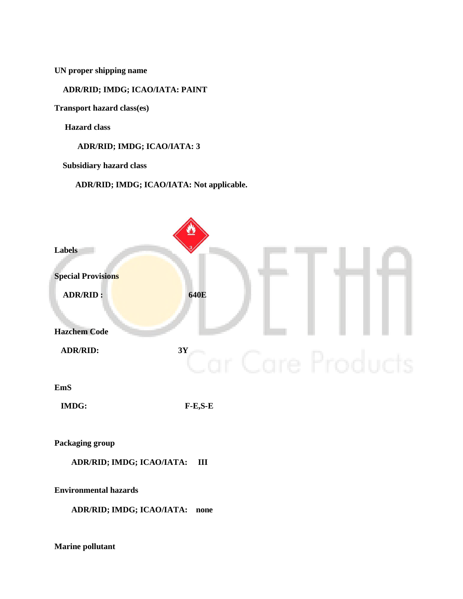**UN proper shipping name**

#### **ADR/RID; IMDG; ICAO/IATA: PAINT**

**Transport hazard class(es)** 

**Hazard class**

**ADR/RID; IMDG; ICAO/IATA: 3**

**Subsidiary hazard class**

**ADR/RID; IMDG; ICAO/IATA: Not applicable.**



**ADR/RID; IMDG; ICAO/IATA: none**

**Marine pollutant**